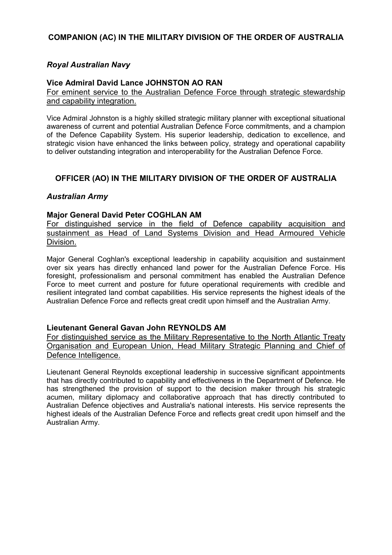# **COMPANION (AC) IN THE MILITARY DIVISION OF THE ORDER OF AUSTRALIA**

## *Royal Australian Navy*

### **Vice Admiral David Lance JOHNSTON AO RAN**

For eminent service to the Australian Defence Force through strategic stewardship and capability integration.

Vice Admiral Johnston is a highly skilled strategic military planner with exceptional situational awareness of current and potential Australian Defence Force commitments, and a champion of the Defence Capability System. His superior leadership, dedication to excellence, and strategic vision have enhanced the links between policy, strategy and operational capability to deliver outstanding integration and interoperability for the Australian Defence Force.

# **OFFICER (AO) IN THE MILITARY DIVISION OF THE ORDER OF AUSTRALIA**

### *Australian Army*

#### **Major General David Peter COGHLAN AM**

For distinguished service in the field of Defence capability acquisition and sustainment as Head of Land Systems Division and Head Armoured Vehicle Division.

Major General Coghlan's exceptional leadership in capability acquisition and sustainment over six years has directly enhanced land power for the Australian Defence Force. His foresight, professionalism and personal commitment has enabled the Australian Defence Force to meet current and posture for future operational requirements with credible and resilient integrated land combat capabilities. His service represents the highest ideals of the Australian Defence Force and reflects great credit upon himself and the Australian Army.

### **Lieutenant General Gavan John REYNOLDS AM**

For distinguished service as the Military Representative to the North Atlantic Treaty Organisation and European Union, Head Military Strategic Planning and Chief of Defence Intelligence.

Lieutenant General Reynolds exceptional leadership in successive significant appointments that has directly contributed to capability and effectiveness in the Department of Defence. He has strengthened the provision of support to the decision maker through his strategic acumen, military diplomacy and collaborative approach that has directly contributed to Australian Defence objectives and Australia's national interests. His service represents the highest ideals of the Australian Defence Force and reflects great credit upon himself and the Australian Army.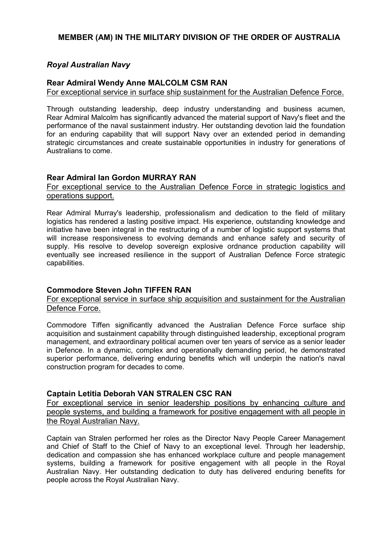# **MEMBER (AM) IN THE MILITARY DIVISION OF THE ORDER OF AUSTRALIA**

# *Royal Australian Navy*

### **Rear Admiral Wendy Anne MALCOLM CSM RAN**

For exceptional service in surface ship sustainment for the Australian Defence Force.

Through outstanding leadership, deep industry understanding and business acumen, Rear Admiral Malcolm has significantly advanced the material support of Navy's fleet and the performance of the naval sustainment industry. Her outstanding devotion laid the foundation for an enduring capability that will support Navy over an extended period in demanding strategic circumstances and create sustainable opportunities in industry for generations of Australians to come.

### **Rear Admiral Ian Gordon MURRAY RAN**

### For exceptional service to the Australian Defence Force in strategic logistics and operations support.

Rear Admiral Murray's leadership, professionalism and dedication to the field of military logistics has rendered a lasting positive impact. His experience, outstanding knowledge and initiative have been integral in the restructuring of a number of logistic support systems that will increase responsiveness to evolving demands and enhance safety and security of supply. His resolve to develop sovereign explosive ordnance production capability will eventually see increased resilience in the support of Australian Defence Force strategic capabilities.

# **Commodore Steven John TIFFEN RAN**

### For exceptional service in surface ship acquisition and sustainment for the Australian Defence Force.

Commodore Tiffen significantly advanced the Australian Defence Force surface ship acquisition and sustainment capability through distinguished leadership, exceptional program management, and extraordinary political acumen over ten years of service as a senior leader in Defence. In a dynamic, complex and operationally demanding period, he demonstrated superior performance, delivering enduring benefits which will underpin the nation's naval construction program for decades to come.

# **Captain Letitia Deborah VAN STRALEN CSC RAN**

For exceptional service in senior leadership positions by enhancing culture and people systems, and building a framework for positive engagement with all people in the Royal Australian Navy.

Captain van Stralen performed her roles as the Director Navy People Career Management and Chief of Staff to the Chief of Navy to an exceptional level. Through her leadership, dedication and compassion she has enhanced workplace culture and people management systems, building a framework for positive engagement with all people in the Royal Australian Navy. Her outstanding dedication to duty has delivered enduring benefits for people across the Royal Australian Navy.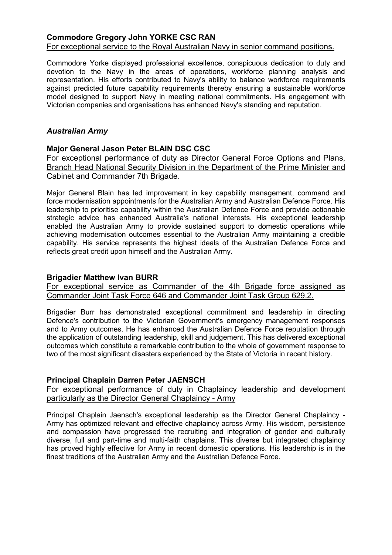### **Commodore Gregory John YORKE CSC RAN** For exceptional service to the Royal Australian Navy in senior command positions.

Commodore Yorke displayed professional excellence, conspicuous dedication to duty and devotion to the Navy in the areas of operations, workforce planning analysis and representation. His efforts contributed to Navy's ability to balance workforce requirements against predicted future capability requirements thereby ensuring a sustainable workforce model designed to support Navy in meeting national commitments. His engagement with Victorian companies and organisations has enhanced Navy's standing and reputation.

# *Australian Army*

### **Major General Jason Peter BLAIN DSC CSC**

For exceptional performance of duty as Director General Force Options and Plans, Branch Head National Security Division in the Department of the Prime Minister and Cabinet and Commander 7th Brigade.

Major General Blain has led improvement in key capability management, command and force modernisation appointments for the Australian Army and Australian Defence Force. His leadership to prioritise capability within the Australian Defence Force and provide actionable strategic advice has enhanced Australia's national interests. His exceptional leadership enabled the Australian Army to provide sustained support to domestic operations while achieving modernisation outcomes essential to the Australian Army maintaining a credible capability. His service represents the highest ideals of the Australian Defence Force and reflects great credit upon himself and the Australian Army.

## **Brigadier Matthew Ivan BURR**

For exceptional service as Commander of the 4th Brigade force assigned as Commander Joint Task Force 646 and Commander Joint Task Group 629.2.

Brigadier Burr has demonstrated exceptional commitment and leadership in directing Defence's contribution to the Victorian Government's emergency management responses and to Army outcomes. He has enhanced the Australian Defence Force reputation through the application of outstanding leadership, skill and judgement. This has delivered exceptional outcomes which constitute a remarkable contribution to the whole of government response to two of the most significant disasters experienced by the State of Victoria in recent history.

# **Principal Chaplain Darren Peter JAENSCH**

For exceptional performance of duty in Chaplaincy leadership and development particularly as the Director General Chaplaincy - Army

Principal Chaplain Jaensch's exceptional leadership as the Director General Chaplaincy - Army has optimized relevant and effective chaplaincy across Army. His wisdom, persistence and compassion have progressed the recruiting and integration of gender and culturally diverse, full and part-time and multi-faith chaplains. This diverse but integrated chaplaincy has proved highly effective for Army in recent domestic operations. His leadership is in the finest traditions of the Australian Army and the Australian Defence Force.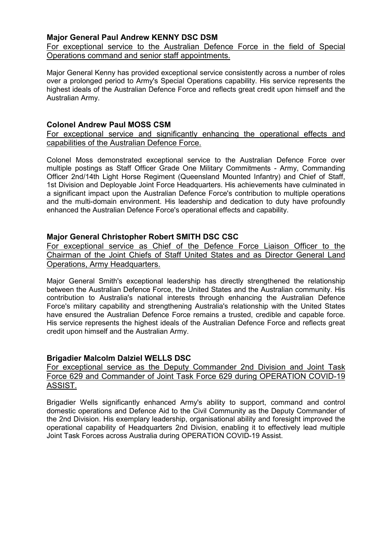# **Major General Paul Andrew KENNY DSC DSM**

For exceptional service to the Australian Defence Force in the field of Special Operations command and senior staff appointments.

Major General Kenny has provided exceptional service consistently across a number of roles over a prolonged period to Army's Special Operations capability. His service represents the highest ideals of the Australian Defence Force and reflects great credit upon himself and the Australian Army.

### **Colonel Andrew Paul MOSS CSM**

For exceptional service and significantly enhancing the operational effects and capabilities of the Australian Defence Force.

Colonel Moss demonstrated exceptional service to the Australian Defence Force over multiple postings as Staff Officer Grade One Military Commitments - Army, Commanding Officer 2nd/14th Light Horse Regiment (Queensland Mounted Infantry) and Chief of Staff, 1st Division and Deployable Joint Force Headquarters. His achievements have culminated in a significant impact upon the Australian Defence Force's contribution to multiple operations and the multi-domain environment. His leadership and dedication to duty have profoundly enhanced the Australian Defence Force's operational effects and capability.

### **Major General Christopher Robert SMITH DSC CSC**

For exceptional service as Chief of the Defence Force Liaison Officer to the Chairman of the Joint Chiefs of Staff United States and as Director General Land Operations, Army Headquarters.

Major General Smith's exceptional leadership has directly strengthened the relationship between the Australian Defence Force, the United States and the Australian community. His contribution to Australia's national interests through enhancing the Australian Defence Force's military capability and strengthening Australia's relationship with the United States have ensured the Australian Defence Force remains a trusted, credible and capable force. His service represents the highest ideals of the Australian Defence Force and reflects great credit upon himself and the Australian Army.

# **Brigadier Malcolm Dalziel WELLS DSC**

### For exceptional service as the Deputy Commander 2nd Division and Joint Task Force 629 and Commander of Joint Task Force 629 during OPERATION COVID-19 ASSIST.

Brigadier Wells significantly enhanced Army's ability to support, command and control domestic operations and Defence Aid to the Civil Community as the Deputy Commander of the 2nd Division. His exemplary leadership, organisational ability and foresight improved the operational capability of Headquarters 2nd Division, enabling it to effectively lead multiple Joint Task Forces across Australia during OPERATION COVID-19 Assist.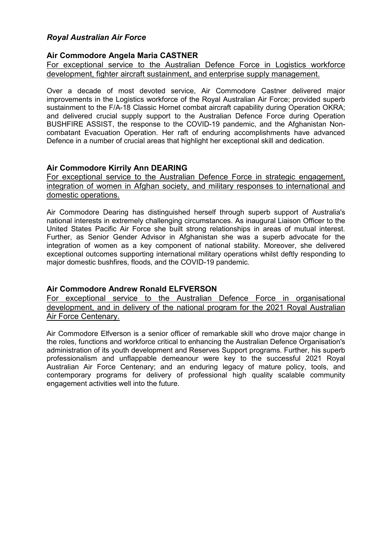# *Royal Australian Air Force*

# **Air Commodore Angela Maria CASTNER**

For exceptional service to the Australian Defence Force in Logistics workforce development, fighter aircraft sustainment, and enterprise supply management.

Over a decade of most devoted service, Air Commodore Castner delivered major improvements in the Logistics workforce of the Royal Australian Air Force; provided superb sustainment to the F/A-18 Classic Hornet combat aircraft capability during Operation OKRA; and delivered crucial supply support to the Australian Defence Force during Operation BUSHFIRE ASSIST, the response to the COVID-19 pandemic, and the Afghanistan Noncombatant Evacuation Operation. Her raft of enduring accomplishments have advanced Defence in a number of crucial areas that highlight her exceptional skill and dedication.

# **Air Commodore Kirrily Ann DEARING**

For exceptional service to the Australian Defence Force in strategic engagement, integration of women in Afghan society, and military responses to international and domestic operations.

Air Commodore Dearing has distinguished herself through superb support of Australia's national interests in extremely challenging circumstances. As inaugural Liaison Officer to the United States Pacific Air Force she built strong relationships in areas of mutual interest. Further, as Senior Gender Advisor in Afghanistan she was a superb advocate for the integration of women as a key component of national stability. Moreover, she delivered exceptional outcomes supporting international military operations whilst deftly responding to major domestic bushfires, floods, and the COVID-19 pandemic.

# **Air Commodore Andrew Ronald ELFVERSON**

For exceptional service to the Australian Defence Force in organisational development, and in delivery of the national program for the 2021 Royal Australian Air Force Centenary.

Air Commodore Elfverson is a senior officer of remarkable skill who drove major change in the roles, functions and workforce critical to enhancing the Australian Defence Organisation's administration of its youth development and Reserves Support programs. Further, his superb professionalism and unflappable demeanour were key to the successful 2021 Royal Australian Air Force Centenary; and an enduring legacy of mature policy, tools, and contemporary programs for delivery of professional high quality scalable community engagement activities well into the future.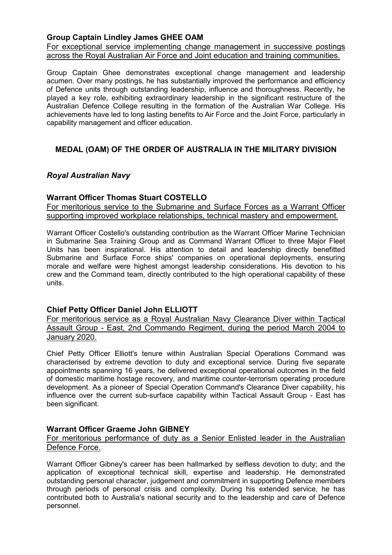## **Group Captain Lindley James GHEE OAM**

For exceptional service implementing change management in successive postings across the Royal Australian Air Force and Joint education and training communities.

Group Captain Ghee demonstrates exceptional change management and leadership acumen. Over many postings, he has substantially improved the performance and efficiency of Defence units through outstanding leadership, influence and thoroughness. Recently, he played a key role, exhibiting extraordinary leadership in the significant restructure of the Australian Defence College resulting in the formation of the Australian War College. His achievements have led to long lasting benefits to Air Force and the Joint Force, particularly in capability management and officer education.

# **MEDAL (OAM) OF THE ORDER OF AUSTRALIA IN THE MILITARY DIVISION**

# *Royal Australian Navy*

### **Warrant Officer Thomas Stuart COSTELLO**

For meritorious service to the Submarine and Surface Forces as a Warrant Officer supporting improved workplace relationships, technical mastery and empowerment.

Warrant Officer Costello's outstanding contribution as the Warrant Officer Marine Technician in Submarine Sea Training Group and as Command Warrant Officer to three Major Fleet Units has been inspirational. His attention to detail and leadership directly benefitted Submarine and Surface Force ships' companies on operational deployments, ensuring morale and welfare were highest amongst leadership considerations. His devotion to his crew and the Command team, directly contributed to the high operational capability of these units.

### **Chief Petty Officer Daniel John ELLIOTT**

For meritorious service as a Royal Australian Navy Clearance Diver within Tactical Assault Group - East, 2nd Commando Regiment, during the period March 2004 to January 2020.

Chief Petty Officer Elliott's tenure within Australian Special Operations Command was characterised by extreme devotion to duty and exceptional service. During five separate appointments spanning 16 years, he delivered exceptional operational outcomes in the field of domestic maritime hostage recovery, and maritime counter-terrorism operating procedure development. As a pioneer of Special Operation Command's Clearance Diver capability, his influence over the current sub-surface capability within Tactical Assault Group - East has been significant.

### **Warrant Officer Graeme John GIBNEY**

### For meritorious performance of duty as a Senior Enlisted leader in the Australian Defence Force.

Warrant Officer Gibney's career has been hallmarked by selfless devotion to duty; and the application of exceptional technical skill, expertise and leadership. He demonstrated outstanding personal character, judgement and commitment in supporting Defence members through periods of personal crisis and complexity. During his extended service, he has contributed both to Australia's national security and to the leadership and care of Defence personnel.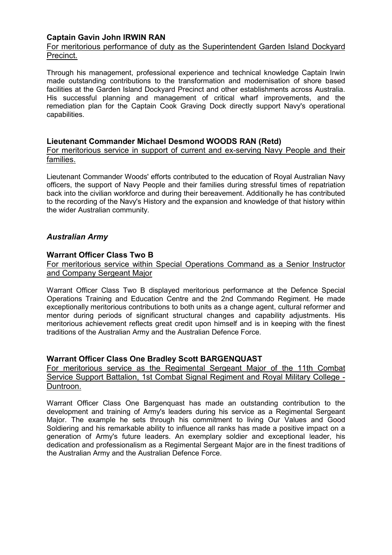# **Captain Gavin John IRWIN RAN**

For meritorious performance of duty as the Superintendent Garden Island Dockyard Precinct.

Through his management, professional experience and technical knowledge Captain Irwin made outstanding contributions to the transformation and modernisation of shore based facilities at the Garden Island Dockyard Precinct and other establishments across Australia. His successful planning and management of critical wharf improvements, and the remediation plan for the Captain Cook Graving Dock directly support Navy's operational capabilities.

### **Lieutenant Commander Michael Desmond WOODS RAN (Retd)**

For meritorious service in support of current and ex-serving Navy People and their families.

Lieutenant Commander Woods' efforts contributed to the education of Royal Australian Navy officers, the support of Navy People and their families during stressful times of repatriation back into the civilian workforce and during their bereavement. Additionally he has contributed to the recording of the Navy's History and the expansion and knowledge of that history within the wider Australian community.

# *Australian Army*

#### **Warrant Officer Class Two B**

For meritorious service within Special Operations Command as a Senior Instructor and Company Sergeant Major

Warrant Officer Class Two B displayed meritorious performance at the Defence Special Operations Training and Education Centre and the 2nd Commando Regiment. He made exceptionally meritorious contributions to both units as a change agent, cultural reformer and mentor during periods of significant structural changes and capability adjustments. His meritorious achievement reflects great credit upon himself and is in keeping with the finest traditions of the Australian Army and the Australian Defence Force.

### **Warrant Officer Class One Bradley Scott BARGENQUAST**

For meritorious service as the Regimental Sergeant Major of the 11th Combat Service Support Battalion, 1st Combat Signal Regiment and Royal Military College - Duntroon.

Warrant Officer Class One Bargenquast has made an outstanding contribution to the development and training of Army's leaders during his service as a Regimental Sergeant Major. The example he sets through his commitment to living Our Values and Good Soldiering and his remarkable ability to influence all ranks has made a positive impact on a generation of Army's future leaders. An exemplary soldier and exceptional leader, his dedication and professionalism as a Regimental Sergeant Major are in the finest traditions of the Australian Army and the Australian Defence Force.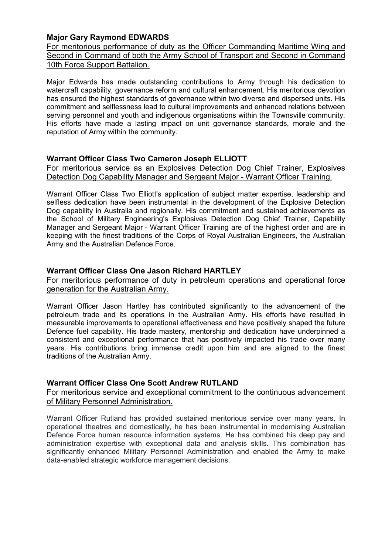# **Major Gary Raymond EDWARDS**

For meritorious performance of duty as the Officer Commanding Maritime Wing and Second in Command of both the Army School of Transport and Second in Command 10th Force Support Battalion.

Major Edwards has made outstanding contributions to Army through his dedication to watercraft capability, governance reform and cultural enhancement. His meritorious devotion has ensured the highest standards of governance within two diverse and dispersed units. His commitment and selflessness lead to cultural improvements and enhanced relations between serving personnel and youth and indigenous organisations within the Townsville community. His efforts have made a lasting impact on unit governance standards, morale and the reputation of Army within the community.

# **Warrant Officer Class Two Cameron Joseph ELLIOTT**

For meritorious service as an Explosives Detection Dog Chief Trainer, Explosives Detection Dog Capability Manager and Sergeant Major - Warrant Officer Training.

Warrant Officer Class Two Elliott's application of subject matter expertise, leadership and selfless dedication have been instrumental in the development of the Explosive Detection Dog capability in Australia and regionally. His commitment and sustained achievements as the School of Military Engineering's Explosives Detection Dog Chief Trainer, Capability Manager and Sergeant Major - Warrant Officer Training are of the highest order and are in keeping with the finest traditions of the Corps of Royal Australian Engineers, the Australian Army and the Australian Defence Force.

# **Warrant Officer Class One Jason Richard HARTLEY**

For meritorious performance of duty in petroleum operations and operational force generation for the Australian Army.

Warrant Officer Jason Hartley has contributed significantly to the advancement of the petroleum trade and its operations in the Australian Army. His efforts have resulted in measurable improvements to operational effectiveness and have positively shaped the future Defence fuel capability. His trade mastery, mentorship and dedication have underpinned a consistent and exceptional performance that has positively impacted his trade over many years. His contributions bring immense credit upon him and are aligned to the finest traditions of the Australian Army.

# **Warrant Officer Class One Scott Andrew RUTLAND**

For meritorious service and exceptional commitment to the continuous advancement of Military Personnel Administration.

Warrant Officer Rutland has provided sustained meritorious service over many years. In operational theatres and domestically, he has been instrumental in modernising Australian Defence Force human resource information systems. He has combined his deep pay and administration expertise with exceptional data and analysis skills. This combination has significantly enhanced Military Personnel Administration and enabled the Army to make data-enabled strategic workforce management decisions.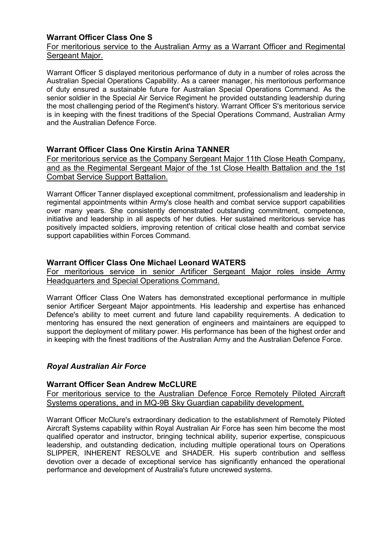# **Warrant Officer Class One S**

# For meritorious service to the Australian Army as a Warrant Officer and Regimental Sergeant Major.

Warrant Officer S displayed meritorious performance of duty in a number of roles across the Australian Special Operations Capability. As a career manager, his meritorious performance of duty ensured a sustainable future for Australian Special Operations Command. As the senior soldier in the Special Air Service Regiment he provided outstanding leadership during the most challenging period of the Regiment's history. Warrant Officer S's meritorious service is in keeping with the finest traditions of the Special Operations Command, Australian Army and the Australian Defence Force.

# **Warrant Officer Class One Kirstin Arina TANNER**

For meritorious service as the Company Sergeant Major 11th Close Heath Company, and as the Regimental Sergeant Major of the 1st Close Health Battalion and the 1st Combat Service Support Battalion.

Warrant Officer Tanner displayed exceptional commitment, professionalism and leadership in regimental appointments within Army's close health and combat service support capabilities over many years. She consistently demonstrated outstanding commitment, competence, initiative and leadership in all aspects of her duties. Her sustained meritorious service has positively impacted soldiers, improving retention of critical close health and combat service support capabilities within Forces Command.

# **Warrant Officer Class One Michael Leonard WATERS**

For meritorious service in senior Artificer Sergeant Major roles inside Army Headquarters and Special Operations Command.

Warrant Officer Class One Waters has demonstrated exceptional performance in multiple senior Artificer Sergeant Major appointments. His leadership and expertise has enhanced Defence's ability to meet current and future land capability requirements. A dedication to mentoring has ensured the next generation of engineers and maintainers are equipped to support the deployment of military power. His performance has been of the highest order and in keeping with the finest traditions of the Australian Army and the Australian Defence Force.

# *Royal Australian Air Force*

### **Warrant Officer Sean Andrew McCLURE**

For meritorious service to the Australian Defence Force Remotely Piloted Aircraft Systems operations, and in MQ-9B Sky Guardian capability development.

Warrant Officer McClure's extraordinary dedication to the establishment of Remotely Piloted Aircraft Systems capability within Royal Australian Air Force has seen him become the most qualified operator and instructor, bringing technical ability, superior expertise, conspicuous leadership, and outstanding dedication, including multiple operational tours on Operations SLIPPER, INHERENT RESOLVE and SHADER. His superb contribution and selfless devotion over a decade of exceptional service has significantly enhanced the operational performance and development of Australia's future uncrewed systems.